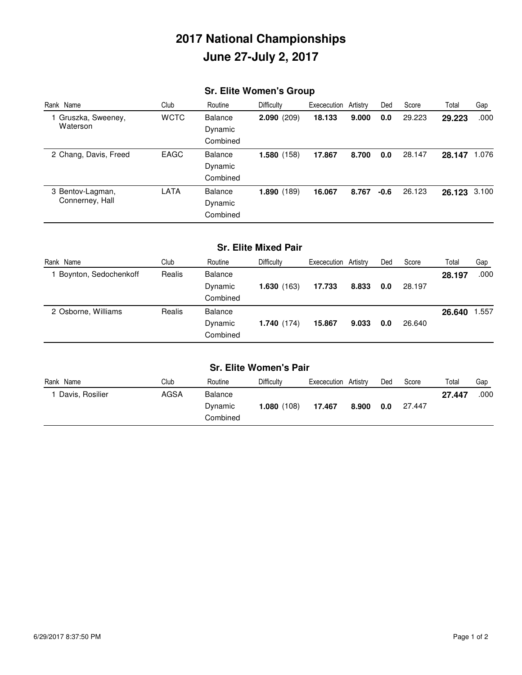# **2017 National Championships June 27-July 2, 2017**

## **Sr. Elite Women's Group**

| Rank Name                           | Club        | Routine        | Difficulty | Exececution Artistry |       | Ded  | Score  | Total        | Gap   |
|-------------------------------------|-------------|----------------|------------|----------------------|-------|------|--------|--------------|-------|
| 1 Gruszka, Sweeney,                 | <b>WCTC</b> | <b>Balance</b> | 2.090(209) | 18.133               | 9.000 | 0.0  | 29.223 | 29.223       | .000  |
| Waterson                            |             | Dynamic        |            |                      |       |      |        |              |       |
|                                     |             | Combined       |            |                      |       |      |        |              |       |
| 2 Chang, Davis, Freed               | <b>EAGC</b> | <b>Balance</b> | 1.580(158) | 17.867               | 8.700 | 0.0  | 28.147 | 28.147       | 1.076 |
|                                     |             | Dynamic        |            |                      |       |      |        |              |       |
|                                     |             | Combined       |            |                      |       |      |        |              |       |
| 3 Bentov-Lagman,<br>Connerney, Hall | <b>LATA</b> | <b>Balance</b> | 1.890(189) | 16.067               | 8.767 | -0.6 | 26.123 | 26.123 3.100 |       |
|                                     |             | Dynamic        |            |                      |       |      |        |              |       |
|                                     |             | Combined       |            |                      |       |      |        |              |       |

### **Sr. Elite Mixed Pair**

| Rank Name             | Club   | Routine        | <b>Difficulty</b> | Exececution Artistry |       | Ded | Score  | Total  | Gap   |
|-----------------------|--------|----------------|-------------------|----------------------|-------|-----|--------|--------|-------|
| Boynton, Sedochenkoff | Realis | <b>Balance</b> |                   |                      |       |     |        | 28.197 | .000  |
|                       |        | Dynamic        | 1.630(163)        | 17.733               | 8.833 | 0.0 | 28.197 |        |       |
|                       |        | Combined       |                   |                      |       |     |        |        |       |
| 2 Osborne, Williams   | Realis | <b>Balance</b> |                   |                      |       |     |        | 26.640 | 1.557 |
|                       |        | Dynamic        | 1.740(174)        | 15.867               | 9.033 | 0.0 | 26.640 |        |       |
|                       |        | Combined       |                   |                      |       |     |        |        |       |

| <b>Sr. Elite Women's Pair</b> |      |          |                   |                      |       |     |        |        |      |
|-------------------------------|------|----------|-------------------|----------------------|-------|-----|--------|--------|------|
| Rank Name                     | Club | Routine  | <b>Difficulty</b> | Exececution Artistry |       | Ded | Score  | Total  | Gap  |
| Davis, Rosilier               | AGSA | Balance  |                   |                      |       |     |        | 27.447 | .000 |
|                               |      | Dynamic  | 1.080(108)        | 17.467               | 8.900 | 0.0 | 27.447 |        |      |
|                               |      | Combined |                   |                      |       |     |        |        |      |
|                               |      |          |                   |                      |       |     |        |        |      |